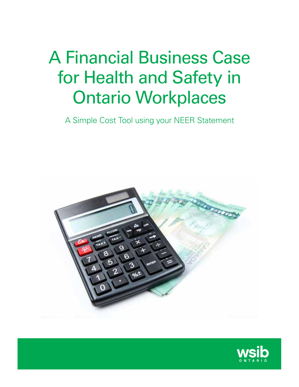# A Financial Business Case for Health and Safety in Ontario Workplaces

A Simple Cost Tool using your NEER Statement



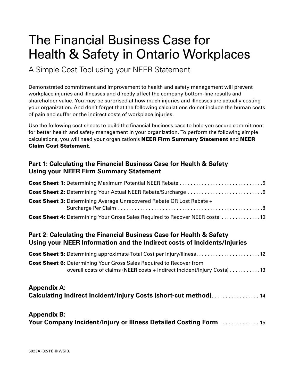# The Financial Business Case for Health & Safety in Ontario Workplaces

A Simple Cost Tool using your NEER Statement

Demonstrated commitment and improvement to health and safety management will prevent workplace injuries and illnesses and directly affect the company bottom-line results and shareholder value. You may be surprised at how much injuries and illnesses are actually costing your organization. And don't forget that the following calculations do not include the human costs of pain and suffer or the indirect costs of workplace injuries.

Use the following cost sheets to build the financial business case to help you secure commitment for better health and safety management in your organization. To perform the following simple calculations, you will need your organization's NEER Firm Summary Statement and NEER Claim Cost Statement.

### **Part 1: Calculating the Financial Business Case for Health & Safety Using your NEER Firm Summary Statement**

| <b>Cost Sheet 3: Determining Average Unrecovered Rebate OR Lost Rebate +</b>        |
|-------------------------------------------------------------------------------------|
| <b>Cost Sheet 4:</b> Determining Your Gross Sales Required to Recover NEER costs 10 |

### **Part 2: Calculating the Financial Business Case for Health & Safety Using your NEER Information and the Indirect costs of Incidents/Injuries**

| <b>Cost Sheet 5:</b> Determining approximate Total Cost per Injury/Illness12                                                                           |  |
|--------------------------------------------------------------------------------------------------------------------------------------------------------|--|
| <b>Cost Sheet 6:</b> Determining Your Gross Sales Required to Recover from<br>overall costs of claims (NEER costs + Indirect Incident/Injury Costs) 13 |  |
| <b>Appendix A:</b><br><b>Calculating Indirect Incident/Injury Costs (short-cut method)14</b>                                                           |  |

#### **Appendix B: Your Company Incident/Injury or Illness Detailed Costing Form ............... 15**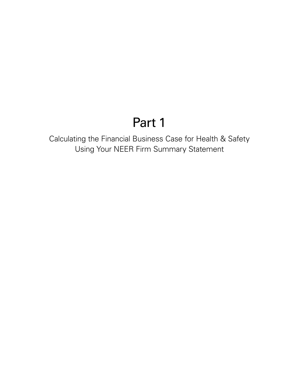# Part 1

Calculating the Financial Business Case for Health & Safety Using Your NEER Firm Summary Statement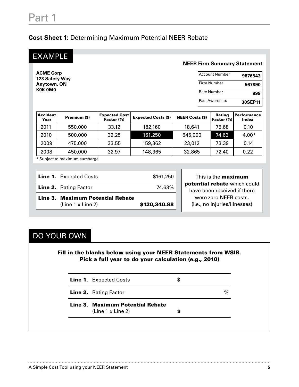### **Cost Sheet 1:** Determining Maximum Potential NEER Rebate

**ACME Corp 123 Safety Way Anytown, ON K0K 0M0**

#### **NEER Firm Summary Statement**

| <b>Account Number</b> | 9876543 |
|-----------------------|---------|
| Firm Number           | 567890  |
| <b>Rate Number</b>    | 999     |
| Past Awards to:       | 30SEP11 |

| <b>Accident</b><br>Year | Premium (\$) | <b>Expected Cost</b><br>Factor (%) | <b>Expected Costs (\$)</b> | <b>NEER Costs (\$)</b> | <b>Rating</b><br>Factor (%) | ⊦Performance l<br><b>Index</b> |
|-------------------------|--------------|------------------------------------|----------------------------|------------------------|-----------------------------|--------------------------------|
| 2011                    | 550,000      | 33.12                              | 182,160                    | 18,641                 | 75.68                       | 0.10                           |
| 2010                    | 500,000      | 32.25                              | 161,250                    | 645,000                | 74.63                       | $4.00*$                        |
| 2009                    | 475,000      | 33.55                              | 159,362                    | 23,012                 | 73.39                       | 0.14                           |
| 2008                    | 450,000      | 32.97                              | 148,365                    | 32,865                 | 72.40                       | 0.22                           |

\* Subject to maximum surcharge

| <b>Line 1.</b> Expected Costs | \$161,250 |
|-------------------------------|-----------|
| <b>Line 2.</b> Rating Factor  | 74.63%    |

Line 3. Maximum Potential Rebate (Line 1 x Line 2) \$120,340.88

This is the **maximum** potential rebate which could have been received if there were zero NEER costs. (i.e., no injuries/illnesses)

## DO YOUR OWN

Fill in the blanks below using your NEER Statements from WSIB. Pick a full year to do your calculation (e.g., 2010)

Line 1. Expected Costs \$

Line 2. Rating Factor  $\%$ 

Line 3. Maximum Potential Rebate (Line 1  $\times$  Line 2)  $\qquad \qquad$   $\bullet$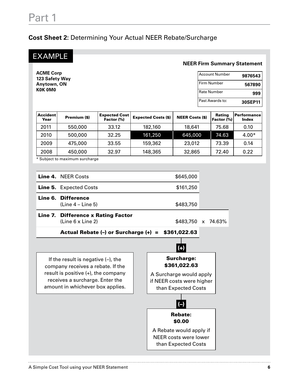### **Cost Sheet 2:** Determining Your Actual NEER Rebate/Surcharge

**ACME Corp 123 Safety Way Anytown, ON K0K 0M0**

#### **NEER Firm Summary Statement**

| Account Number    | 9876543 |
|-------------------|---------|
| l Firm Number     | 567890  |
| l Rate Number     | 999     |
| l Past Awards to: | 30SEP11 |

| <b>Accident</b><br>Year | Premium (\$) | <b>Expected Cost</b><br>Factor (%) | <b>Expected Costs (\$)</b> | <b>NEER Costs (\$)</b> | <b>Rating</b><br>Factor (%) | <b>Performance</b><br><b>Index</b> |
|-------------------------|--------------|------------------------------------|----------------------------|------------------------|-----------------------------|------------------------------------|
| 2011                    | 550,000      | 33.12                              | 182,160                    | 18,641                 | 75.68                       | 0.10                               |
| 2010                    | 500,000      | 32.25                              | 161,250                    | 645,000                | 74.63                       | $4.00*$                            |
| 2009                    | 475,000      | 33.55                              | 159,362                    | 23,012                 | 73.39                       | 0.14                               |
| 2008                    | 450,000      | 32.97                              | 148,365                    | 32,865                 | 72.40                       | 0.22                               |

\* Subject to maximum surcharge

| Line 7. Difference x Rating Factor<br>$\{Line 6 \times Line 2\}$ | \$483,750 x 74.63% |  |
|------------------------------------------------------------------|--------------------|--|
| Line 6. Difference<br>$(Line 4 - Line 5)$                        | \$483,750          |  |
| <b>Line 5.</b> Expected Costs                                    | \$161,250          |  |
| Line 4. NEER Costs                                               | \$645,000          |  |

Actual Rebate (–) or Surcharge (+) = \$361,022.63

If the result is negative (–), the company receives a rebate. If the result is positive (+), the company receives a surcharge. Enter the amount in whichever box applies.

# $(\text{+})$

Surcharge: \$361,022.63

A Surcharge would apply if NEER costs were higher than Expected Costs

# (–)

Rebate:

\$0.00

A Rebate would apply if NEER costs were lower than Expected Costs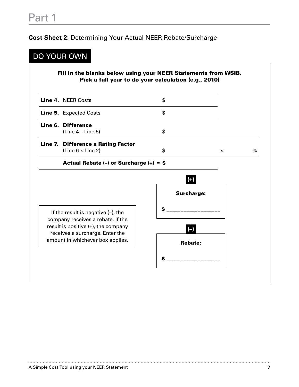### **Cost Sheet 2:** Determining Your Actual NEER Rebate/Surcharge

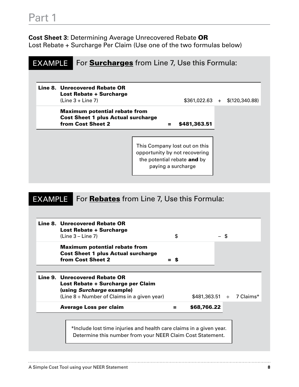# Part 1

**Cost Sheet 3:** Determining Average Unrecovered Rebate OR Lost Rebate + Surcharge Per Claim (Use one of the two formulas below)

#### EXAMPLE For **Surcharges** from Line 7, Use this Formula:

| Line 8. Unrecovered Rebate OR |
|-------------------------------|
| Lost Rebate + Surcharge       |
| $(Line 3 + Line 7)$           |
|                               |

Maximum potential rebate from Cost Sheet 1 plus Actual surcharge from Cost Sheet 2 = \$481,363.51

 $$361,022.63 + $(120,340.88)$ 

This Company lost out on this opportunity by not recovering the potential rebate and by paying a surcharge

#### EXAMPLE For **Rebates** from Line 7, Use this Formula:

| Line 8. Unrecovered Rebate OR<br><b>Lost Rebate + Surcharge</b><br>$(Line 3 - Line 7)$                                                              | \$  |                                      | - \$ |  |
|-----------------------------------------------------------------------------------------------------------------------------------------------------|-----|--------------------------------------|------|--|
| <b>Maximum potential rebate from</b><br><b>Cost Sheet 1 plus Actual surcharge</b><br>from Cost Sheet 2                                              | = S |                                      |      |  |
| Line 9. Unrecovered Rebate OR<br>Lost Rebate + Surcharge per Claim<br>(using Surcharge example)<br>(Line $8 \div$ Number of Claims in a given year) |     | $$481,363.51 \div 7 \text{ Clains*}$ |      |  |
| <b>Average Loss per claim</b>                                                                                                                       | =   | \$68,766.22                          |      |  |
| *Include lost time injuries and health care claims in a given year.<br>Determine this number from your NEER Claim Cost Statement.                   |     |                                      |      |  |

A Simple Cost Tool using your NEER Statement **8**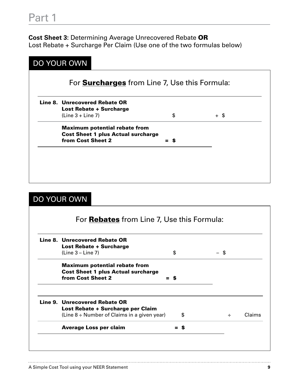**Cost Sheet 3:** Determining Average Unrecovered Rebate OR Lost Rebate + Surcharge Per Claim (Use one of the two formulas below)

| <b>DO YOUR OWN</b>                                    |       |      |
|-------------------------------------------------------|-------|------|
| For <b>Surcharges</b> from Line 7, Use this Formula:  |       |      |
| Line 8. Unrecovered Rebate OR                         |       |      |
| <b>Lost Rebate + Surcharge</b><br>$(Line 3 + Line 7)$ | \$    | + \$ |
| <b>Maximum potential rebate from</b>                  |       |      |
| <b>Cost Sheet 1 plus Actual surcharge</b>             |       |      |
| from Cost Sheet 2                                     | $=$ s |      |
|                                                       |       |      |
|                                                       |       |      |
|                                                       |       |      |
|                                                       |       |      |
|                                                       |       |      |

## DO YOUR OWN

| Line 8. Unrecovered Rebate OR                    |       |      |        |
|--------------------------------------------------|-------|------|--------|
| <b>Lost Rebate + Surcharge</b>                   |       |      |        |
| $(Line 3 - Line 7)$                              | \$    | - \$ |        |
| <b>Maximum potential rebate from</b>             |       |      |        |
| <b>Cost Sheet 1 plus Actual surcharge</b>        |       |      |        |
| from Cost Sheet 2                                | $=$ s |      |        |
| Line 9. Unrecovered Rebate OR                    |       |      |        |
| Lost Rebate + Surcharge per Claim                |       |      |        |
| (Line $8 \div$ Number of Claims in a given year) | \$    | ÷    | Claims |
| <b>Average Loss per claim</b>                    | -S    |      |        |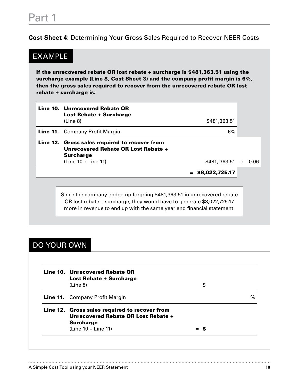**Cost Sheet 4:** Determining Your Gross Sales Required to Recover NEER Costs

## EXAMPLE

If the unrecovered rebate OR lost rebate + surcharge is \$481,363.51 using the surcharge example (Line 8, Cost Sheet 3) and the company profit margin is 6%, then the gross sales required to recover from the unrecovered rebate OR lost rebate + surcharge is:

| Line 10. Unrecovered Rebate OR<br><b>Lost Rebate + Surcharge</b><br>(Line 8)                                                                                                                                              | \$481,363.51   |                                          |      |
|---------------------------------------------------------------------------------------------------------------------------------------------------------------------------------------------------------------------------|----------------|------------------------------------------|------|
| <b>Line 11.</b> Company Profit Margin                                                                                                                                                                                     | 6%             |                                          |      |
| Line 12. Gross sales required to recover from<br>Unrecovered Rebate OR Lost Rebate +<br><b>Surcharge</b><br>(Line $10 \div$ Line 11)                                                                                      | \$481, 363.51  | $\left\langle \frac{1}{2} \right\rangle$ | 0.06 |
|                                                                                                                                                                                                                           | \$8,022,725.17 |                                          |      |
| Since the company ended up forgoing \$481,363.51 in unrecovered rebate<br>OR lost rebate + surcharge, they would have to generate \$8,022,725.17<br>more in revenue to end up with the same year end financial statement. |                |                                          |      |

## DO YOUR OWN

| Line 10. Unrecovered Rebate OR<br><b>Lost Rebate + Surcharge</b> |      |
|------------------------------------------------------------------|------|
| (Line 8)                                                         | \$   |
| <b>Line 11.</b> Company Profit Margin                            | $\%$ |
| Line 12. Gross sales required to recover from                    |      |
| Unrecovered Rebate OR Lost Rebate +                              |      |
| <b>Surcharge</b>                                                 |      |
| (Line $10 \div$ Line 11)                                         |      |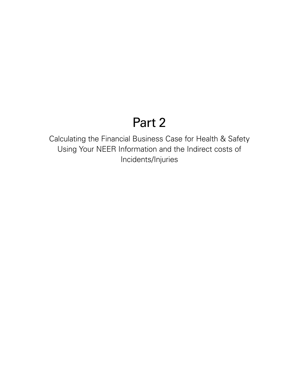# Part 2

Calculating the Financial Business Case for Health & Safety Using Your NEER Information and the Indirect costs of Incidents/Injuries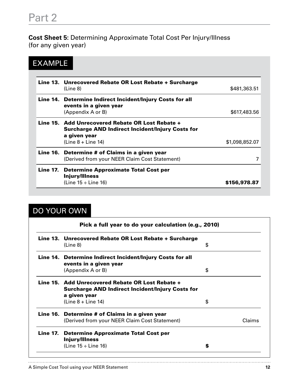**Cost Sheet 5:** Determining Approximate Total Cost Per Injury/Illness (for any given year)

## EXAMPLE

| Line 13. Unrecovered Rebate OR Lost Rebate + Surcharge<br>(Line 8)                                                                                  | \$481,363.51   |
|-----------------------------------------------------------------------------------------------------------------------------------------------------|----------------|
| Line 14. Determine Indirect Incident/Injury Costs for all<br>events in a given year                                                                 |                |
| (Appendix A or B)                                                                                                                                   | \$617,483.56   |
| Line 15. Add Unrecovered Rebate OR Lost Rebate +<br><b>Surcharge AND Indirect Incident/Injury Costs for</b><br>a given year<br>$(Line 8 + Line 14)$ | \$1,098,852.07 |
| Line 16. Determine # of Claims in a given year<br>(Derived from your NEER Claim Cost Statement)                                                     |                |
| Line 17. Determine Approximate Total Cost per<br><b>Injury/Illness</b><br>(Line $15 \div$ Line 16)                                                  | \$156,978.87   |

# DO YOUR OWN

| Pick a full year to do your calculation (e.g., 2010) |                                                                                                             |    |        |  |  |  |
|------------------------------------------------------|-------------------------------------------------------------------------------------------------------------|----|--------|--|--|--|
|                                                      | Line 13. Unrecovered Rebate OR Lost Rebate + Surcharge<br>(Line 8)                                          | \$ |        |  |  |  |
|                                                      | Line 14. Determine Indirect Incident/Injury Costs for all<br>events in a given year                         |    |        |  |  |  |
|                                                      | (Appendix A or B)                                                                                           | \$ |        |  |  |  |
|                                                      | Line 15. Add Unrecovered Rebate OR Lost Rebate +<br><b>Surcharge AND Indirect Incident/Injury Costs for</b> |    |        |  |  |  |
|                                                      | a given year<br>$(Line 8 + Line 14)$                                                                        | \$ |        |  |  |  |
|                                                      | Line 16. Determine # of Claims in a given year                                                              |    |        |  |  |  |
|                                                      | (Derived from your NEER Claim Cost Statement)                                                               |    | Claims |  |  |  |
|                                                      | Line 17. Determine Approximate Total Cost per<br><b>Injury/Illness</b>                                      |    |        |  |  |  |
|                                                      | (Line $15 \div$ Line 16)                                                                                    | S  |        |  |  |  |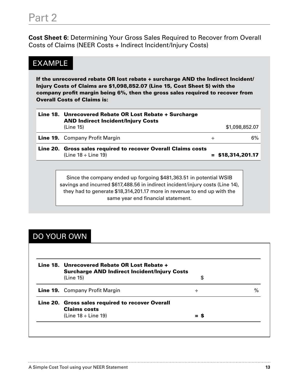**Cost Sheet 6:** Determining Your Gross Sales Required to Recover from Overall Costs of Claims (NEER Costs + Indirect Incident/Injury Costs)

## EXAMPLE

If the unrecovered rebate OR lost rebate + surcharge AND the Indirect Incident/ Injury Costs of Claims are \$1,098,852.07 (Line 15, Cost Sheet 5) with the company profit margin being 6%, then the gross sales required to recover from Overall Costs of Claims is:

| Line 18. Unrecovered Rebate OR Lost Rebate + Surcharge<br><b>AND Indirect Incident/Injury Costs</b><br>(Line 15) |   | \$1,098,852.07      |
|------------------------------------------------------------------------------------------------------------------|---|---------------------|
|                                                                                                                  |   |                     |
| <b>Line 19.</b> Company Profit Margin                                                                            | ÷ | 6%                  |
| Line 20. Gross sales required to recover Overall Claims costs<br>(Line $18 \div$ Line 19)                        |   | $=$ \$18,314,201.17 |

Since the company ended up forgoing \$481,363.51 in potential WSIB savings and incurred \$617,488.56 in indirect incident/injury costs (Line 14), they had to generate \$18,314,201.17 more in revenue to end up with the same year end financial statement.

## DO YOUR OWN

| Line 18. Unrecovered Rebate OR Lost Rebate +<br><b>Surcharge AND Indirect Incident/Injury Costs</b> |    |      |
|-----------------------------------------------------------------------------------------------------|----|------|
| (Line 15)                                                                                           | \$ |      |
| <b>Line 19.</b> Company Profit Margin                                                               | ÷  | $\%$ |
| Line 20. Gross sales required to recover Overall<br><b>Claims costs</b>                             |    |      |
| (Line $18 \div$ Line 19)                                                                            |    |      |

. . . . . . . . . . . . . .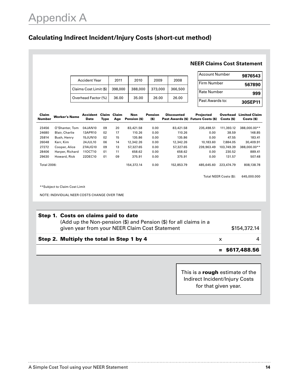### **Calculating Indirect Incident/Injury Costs (short-cut method)**

#### **NEER Claims Cost Statement**

| <b>Accident Year</b>   | 2011    | 2010    | 2009    | 2008    |
|------------------------|---------|---------|---------|---------|
| Claims Cost Limit (\$) | 398,000 | 388,000 | 373,000 | 366,500 |
| Overhead Factor (%)    | 36.00   | 35.00   | 26.00   | 26.00   |

| Account Number  | 9876543 |
|-----------------|---------|
| l Firm Number   | 567890  |
| Rate Number     | 999     |
| Past Awards to: | 30SEP11 |

| Claim<br><b>Number</b> | <b>Worker's Name</b>  | <b>Accident</b><br><b>Date</b> | Claim<br>Type | Claim<br>Age | <b>Non</b><br>Pension (\$) | <b>Pension</b><br>$($ \$) | <b>Discounted</b> | <b>Projected</b><br>Past Awards (\$) Future Costs (\$) | Overhead<br>Costs (\$) | <b>Limited Claim</b><br>Costs (\$) |
|------------------------|-----------------------|--------------------------------|---------------|--------------|----------------------------|---------------------------|-------------------|--------------------------------------------------------|------------------------|------------------------------------|
| 23456                  | O'Shanter, Tom        | 04JAN10                        | 09            | 20           | 83,421.58                  | 0.00                      | 83.421.58         | 235.498.51                                             | 111.393.12             | 388.000.00**                       |
| 24680                  | <b>Blair, Charlie</b> | 13APR10                        | 02            | 17           | 110.26                     | 0.00                      | 110.26            | 0.00                                                   | 38.59                  | 148.85                             |
| 25814                  | Bush, Henry           | <b>15JUN10</b>                 | 02            | 15           | 135.86                     | 0.00                      | 135.86            | 0.00                                                   | 47.55                  | 183.41                             |
| 26048                  | Kerr, Kim             | 24JUL10                        | 06            | 14           | 12,342.26                  | 0.00                      | 12,342.26         | 10.183.60                                              | 7.884.05               | 30,409.91                          |
| 27272                  | Cooper, Alice         | 27AUG10                        | 09            | 13           | 57.327.65                  | 0.00                      | 57.327.65         | 239.963.49                                             | 103.749.39             | 388.000.00**                       |
| 28406                  | Harper, Richard       | 110CT10                        | 01            | 11           | 658.62                     | 0.00                      | 658.62            | 0.00                                                   | 230.52                 | 889.41                             |
| 29630                  | Howard, Rick          | 22DEC10                        | 01            | 09           | 375.91                     | 0.00                      | 375.91            | 0.00                                                   | 131.57                 | 507.48                             |
| Total 2006:            |                       |                                |               |              | 154,372.14                 | 0.00                      | 152.853.79        | 485.645.60                                             | 223.474.79             | 808.138.78                         |

Total NEER Costs (\$): 645,000.000

\*\*Subject to Claim Cost Limit

NOTE: INDIVIDUAL NEER COSTS CHANGE OVER TIME

| Step 1. Costs on claims paid to date<br>(Add up the Non-pension (\$) and Pension (\$) for all claims in a<br>given year from your NEER Claim Cost Statement |   | \$154,372.14     |
|-------------------------------------------------------------------------------------------------------------------------------------------------------------|---|------------------|
| Step 2. Multiply the total in Step 1 by 4                                                                                                                   | x |                  |
|                                                                                                                                                             |   | $=$ \$617,488.56 |

This is a rough estimate of the Indirect Incident/Injury Costs for that given year.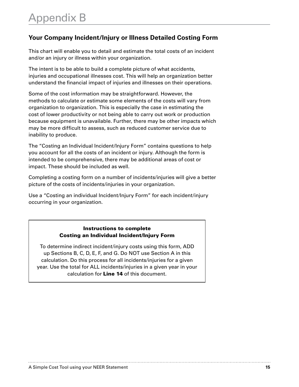### **Your Company Incident/Injury or Illness Detailed Costing Form**

This chart will enable you to detail and estimate the total costs of an incident and/or an injury or illness within your organization.

The intent is to be able to build a complete picture of what accidents, injuries and occupational illnesses cost. This will help an organization better understand the financial impact of injuries and illnesses on their operations.

Some of the cost information may be straightforward. However, the methods to calculate or estimate some elements of the costs will vary from organization to organization. This is especially the case in estimating the cost of lower productivity or not being able to carry out work or production because equipment is unavailable. Further, there may be other impacts which may be more difficult to assess, such as reduced customer service due to inability to produce.

The "Costing an Individual Incident/Injury Form" contains questions to help you account for all the costs of an incident or injury. Although the form is intended to be comprehensive, there may be additional areas of cost or impact. These should be included as well.

Completing a costing form on a number of incidents/injuries will give a better picture of the costs of incidents/injuries in your organization.

Use a "Costing an individual Incident/Injury Form" for each incident/injury occurring in your organization.

#### Instructions to complete Costing an Individual Incident/Injury Form

To determine indirect incident/injury costs using this form, ADD up Sections B, C, D, E, F, and G. Do NOT use Section A in this calculation. Do this process for all incidents/injuries for a given year. Use the total for ALL incidents/injuries in a given year in your calculation for Line 14 of this document.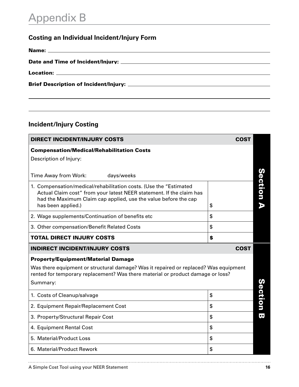# Appendix B

## **Costing an Individual Incident/Injury Form**

## **Incident/Injury Costing**

| <b>DIRECT INCIDENT/INJURY COSTS</b>                                                                                                                                                                                                | <b>COST</b> |                         |
|------------------------------------------------------------------------------------------------------------------------------------------------------------------------------------------------------------------------------------|-------------|-------------------------|
| <b>Compensation/Medical/Rehabilitation Costs</b>                                                                                                                                                                                   |             |                         |
| Description of Injury:                                                                                                                                                                                                             |             |                         |
| Time Away from Work:<br>days/weeks                                                                                                                                                                                                 |             |                         |
| 1. Compensation/medical/rehabilitation costs. (Use the "Estimated<br>Actual Claim cost" from your latest NEER statement. If the claim has<br>had the Maximum Claim cap applied, use the value before the cap<br>has been applied.) | \$          | Section A               |
| 2. Wage supplements/Continuation of benefits etc                                                                                                                                                                                   | \$          |                         |
| 3. Other compensation/Benefit Related Costs                                                                                                                                                                                        | \$          |                         |
| <b>TOTAL DIRECT INJURY COSTS</b>                                                                                                                                                                                                   | \$          |                         |
| <b>INDIRECT INCIDENT/INJURY COSTS</b>                                                                                                                                                                                              | <b>COST</b> |                         |
| <b>Property/Equipment/Material Damage</b>                                                                                                                                                                                          |             |                         |
| Was there equipment or structural damage? Was it repaired or replaced? Was equipment<br>rented for temporary replacement? Was there material or product damage or loss?                                                            |             |                         |
| Summary:                                                                                                                                                                                                                           |             |                         |
| 1. Costs of Cleanup/salvage                                                                                                                                                                                                        | \$          | Section                 |
| 2. Equipment Repair/Replacement Cost                                                                                                                                                                                               | \$          |                         |
| 3. Property/Structural Repair Cost                                                                                                                                                                                                 | \$          | $\overline{\mathbf{e}}$ |
| 4. Equipment Rental Cost                                                                                                                                                                                                           | \$          |                         |
| 5. Material/Product Loss                                                                                                                                                                                                           | \$          |                         |
| 6. Material/Product Rework                                                                                                                                                                                                         | \$          |                         |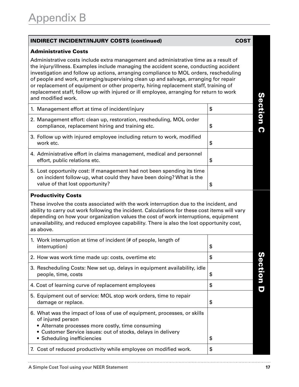#### Indirect Incident/Injury Costs (continued) COST

#### Administrative Costs

Administrative costs include extra management and administrative time as a result of the injury/illness. Examples include managing the accident scene, conducting accident investigation and follow up actions, arranging compliance to MOL orders, rescheduling of people and work, arranging/supervising clean up and salvage, arranging for repair or replacement of equipment or other property, hiring replacement staff, training of replacement staff, follow up with injured or ill employee, arranging for return to work and modified work.

| and modified work.                                                                                                                                                               |    |
|----------------------------------------------------------------------------------------------------------------------------------------------------------------------------------|----|
| 1. Management effort at time of incident/injury                                                                                                                                  | \$ |
| 2. Management effort: clean up, restoration, rescheduling, MOL order<br>compliance, replacement hiring and training etc.                                                         | \$ |
| 3. Follow up with injured employee including return to work, modified<br>work etc.                                                                                               | \$ |
| 4. Administrative effort in claims management, medical and personnel<br>effort, public relations etc.                                                                            | \$ |
| 5. Lost opportunity cost: If management had not been spending its time<br>on incident follow-up, what could they have been doing? What is the<br>value of that lost opportunity? |    |

#### Productivity Costs

These involve the costs associated with the work interruption due to the incident, and ability to carry out work following the incident. Calculations for these cost items will vary depending on how your organization values the cost of work interruptions, equipment unavailability, and reduced employee capability. There is also the lost opportunity cost, as above.

| 1. Work interruption at time of incident (# of people, length of<br>interruption)                                                                                                                                                                 | \$           |
|---------------------------------------------------------------------------------------------------------------------------------------------------------------------------------------------------------------------------------------------------|--------------|
| 2. How was work time made up: costs, overtime etc.                                                                                                                                                                                                | \$<br>ω      |
| 3. Rescheduling Costs: New set up, delays in equipment availability, idle<br>people, time, costs                                                                                                                                                  | \$<br>ection |
| 4. Cost of learning curve of replacement employees                                                                                                                                                                                                | \$           |
| 5. Equipment out of service: MOL stop work orders, time to repair<br>damage or replace.                                                                                                                                                           | \$           |
| 6. What was the impact of loss of use of equipment, processes, or skills<br>of injured person<br>• Alternate processes more costly, time consuming<br>• Customer Service issues: out of stocks, delays in delivery<br>• Scheduling inefficiencies | \$           |
| 7. Cost of reduced productivity while employee on modified work.                                                                                                                                                                                  | \$           |

<u>(၇</u>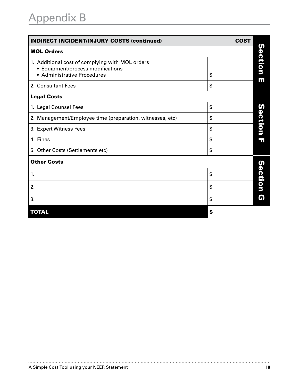| <b>INDIRECT INCIDENT/INJURY COSTS (continued)</b>                                                                   | <b>COST</b> |         |
|---------------------------------------------------------------------------------------------------------------------|-------------|---------|
| <b>MOL Orders</b>                                                                                                   |             |         |
| 1. Additional cost of complying with MOL orders<br>• Equipment/process modifications<br>• Administrative Procedures | \$          | Section |
| 2. Consultant Fees                                                                                                  | \$          | ш       |
| <b>Legal Costs</b>                                                                                                  |             |         |
| 1. Legal Counsel Fees                                                                                               | \$          | N       |
| 2. Management/Employee time (preparation, witnesses, etc)                                                           | \$          |         |
| 3. Expert Witness Fees                                                                                              | \$          | ection  |
| 4. Fines                                                                                                            | \$          | Ŧ       |
| 5. Other Costs (Settlements etc)                                                                                    | \$          |         |
| <b>Other Costs</b>                                                                                                  |             |         |
| 1.                                                                                                                  | \$          | Section |
| 2.                                                                                                                  | \$          |         |
| 3.                                                                                                                  | \$          | Q       |
| <b>TOTAL</b>                                                                                                        | \$          |         |